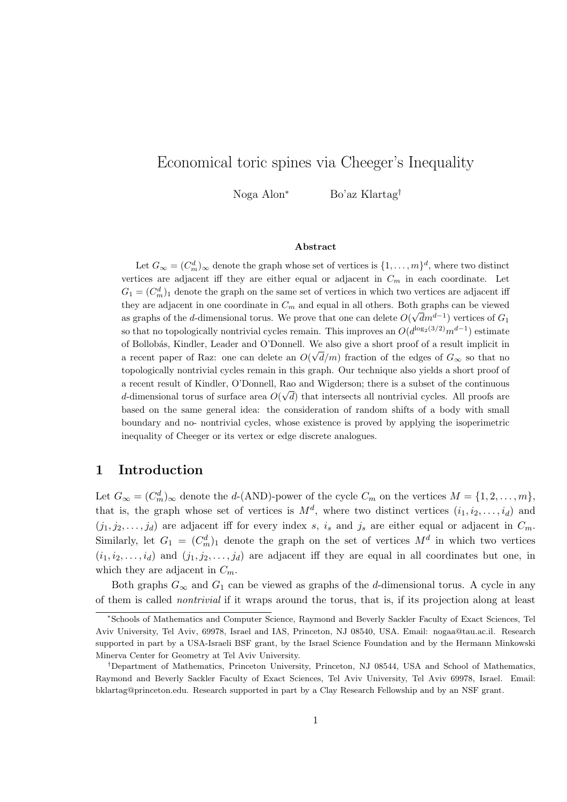# Economical toric spines via Cheeger's Inequality

Noga Alon<sup>∗</sup> Bo'az Klartag†

Abstract

Let  $G_{\infty} = (C_m^d)_{\infty}$  denote the graph whose set of vertices is  $\{1, \ldots, m\}^d$ , where two distinct vertices are adjacent iff they are either equal or adjacent in  $C_m$  in each coordinate. Let  $G_1 = (C_m^d)_1$  denote the graph on the same set of vertices in which two vertices are adjacent iff they are adjacent in one coordinate in  $C_m$  and equal in all others. Both graphs can be viewed as graphs of the *d*-dimensional torus. We prove that one can delete  $O(\sqrt{d}m^{d-1})$  vertices of  $G_1$ so that no topologically nontrivial cycles remain. This improves an  $O(d^{\log_2(3/2)}m^{d-1})$  estimate of Bollobás, Kindler, Leader and O'Donnell. We also give a short proof of a result implicit in a recent paper of Raz: one can delete an  $O(\sqrt{d/m})$  fraction of the edges of  $G_{\infty}$  so that no topologically nontrivial cycles remain in this graph. Our technique also yields a short proof of a recent result of Kindler, O'Donnell, Rao and Wigderson; there is a subset of the continuous √ d-dimensional torus of surface area  $O(\sqrt{d})$  that intersects all nontrivial cycles. All proofs are based on the same general idea: the consideration of random shifts of a body with small boundary and no- nontrivial cycles, whose existence is proved by applying the isoperimetric inequality of Cheeger or its vertex or edge discrete analogues.

# 1 Introduction

Let  $G_{\infty} = (C_m^d)_{\infty}$  denote the d-(AND)-power of the cycle  $C_m$  on the vertices  $M = \{1, 2, \ldots, m\}$ , that is, the graph whose set of vertices is  $M^d$ , where two distinct vertices  $(i_1, i_2, \ldots, i_d)$  and  $(j_1, j_2, \ldots, j_d)$  are adjacent iff for every index s, is and js are either equal or adjacent in  $C_m$ . Similarly, let  $G_1 = (C_m^d)_1$  denote the graph on the set of vertices  $M^d$  in which two vertices  $(i_1, i_2, \ldots, i_d)$  and  $(j_1, j_2, \ldots, j_d)$  are adjacent iff they are equal in all coordinates but one, in which they are adjacent in  $C_m$ .

Both graphs  $G_{\infty}$  and  $G_1$  can be viewed as graphs of the d-dimensional torus. A cycle in any of them is called nontrivial if it wraps around the torus, that is, if its projection along at least

<sup>∗</sup>Schools of Mathematics and Computer Science, Raymond and Beverly Sackler Faculty of Exact Sciences, Tel Aviv University, Tel Aviv, 69978, Israel and IAS, Princeton, NJ 08540, USA. Email: nogaa@tau.ac.il. Research supported in part by a USA-Israeli BSF grant, by the Israel Science Foundation and by the Hermann Minkowski Minerva Center for Geometry at Tel Aviv University.

<sup>†</sup>Department of Mathematics, Princeton University, Princeton, NJ 08544, USA and School of Mathematics, Raymond and Beverly Sackler Faculty of Exact Sciences, Tel Aviv University, Tel Aviv 69978, Israel. Email: bklartag@princeton.edu. Research supported in part by a Clay Research Fellowship and by an NSF grant.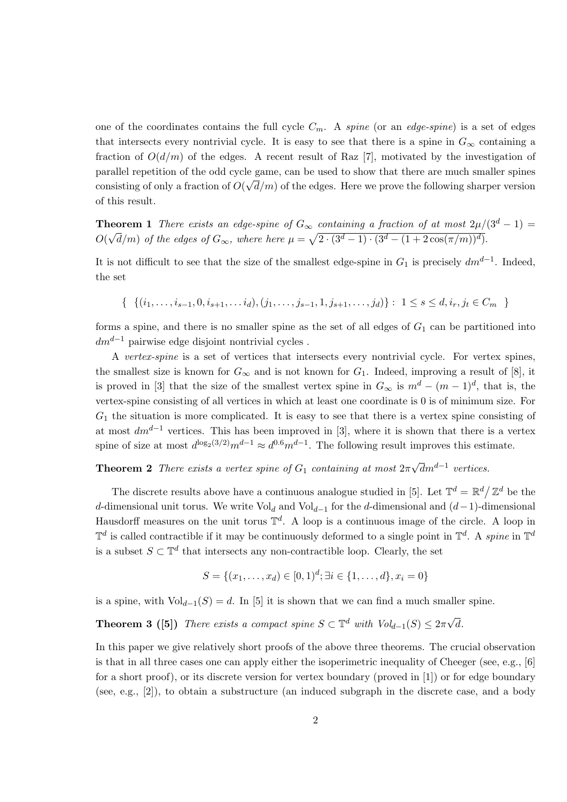one of the coordinates contains the full cycle  $C_m$ . A spine (or an edge-spine) is a set of edges that intersects every nontrivial cycle. It is easy to see that there is a spine in  $G_{\infty}$  containing a fraction of  $O(d/m)$  of the edges. A recent result of Raz [7], motivated by the investigation of parallel repetition of the odd cycle game, can be used to show that there are much smaller spines consisting of only a fraction of  $O(\sqrt{d/m})$  of the edges. Here we prove the following sharper version of this result.

**Theorem 1** There exists an edge-spine of  $G_{\infty}$  containing a fraction of at most  $2\mu/(3^d-1)$  = O( √  $\overline{d}/m$ ) of the edges of  $G_{\infty}$ , where here  $\mu = \sqrt{2 \cdot (3^d-1) \cdot (3^d - (1 + 2 \cos(\pi/m))^d)}$ .

It is not difficult to see that the size of the smallest edge-spine in  $G_1$  is precisely  $dm^{d-1}$ . Indeed, the set

{ $\{ (i_1, \ldots, i_{s-1}, 0, i_{s+1}, \ldots, i_d), (j_1, \ldots, j_{s-1}, 1, j_{s+1}, \ldots, j_d) \} : 1 \leq s \leq d, i_r, j_t \in C_m \}$ 

forms a spine, and there is no smaller spine as the set of all edges of  $G_1$  can be partitioned into  $dm^{d-1}$  pairwise edge disjoint nontrivial cycles.

A vertex-spine is a set of vertices that intersects every nontrivial cycle. For vertex spines, the smallest size is known for  $G_{\infty}$  and is not known for  $G_1$ . Indeed, improving a result of [8], it is proved in [3] that the size of the smallest vertex spine in  $G_{\infty}$  is  $m^d - (m-1)^d$ , that is, the vertex-spine consisting of all vertices in which at least one coordinate is 0 is of minimum size. For  $G_1$  the situation is more complicated. It is easy to see that there is a vertex spine consisting of at most  $dm^{d-1}$  vertices. This has been improved in [3], where it is shown that there is a vertex spine of size at most  $d^{\log_2(3/2)} m^{d-1} \approx d^{0.6} m^{d-1}$ . The following result improves this estimate.

**Theorem 2** There exists a vertex spine of  $G_1$  containing at most  $2\pi$  $\sqrt{d}m^{d-1}$  vertices.

The discrete results above have a continuous analogue studied in [5]. Let  $\mathbb{T}^d = \mathbb{R}^d / \mathbb{Z}^d$  be the d-dimensional unit torus. We write  $Vol_d$  and  $Vol_{d-1}$  for the d-dimensional and  $(d-1)$ -dimensional Hausdorff measures on the unit torus  $\mathbb{T}^d$ . A loop is a continuous image of the circle. A loop in  $\mathbb{T}^d$  is called contractible if it may be continuously deformed to a single point in  $\mathbb{T}^d$ . A spine in  $\mathbb{T}^d$ is a subset  $S \subset \mathbb{T}^d$  that intersects any non-contractible loop. Clearly, the set

$$
S = \{(x_1, \ldots, x_d) \in [0, 1)^d; \exists i \in \{1, \ldots, d\}, x_i = 0\}
$$

is a spine, with  $Vol_{d-1}(S) = d$ . In [5] it is shown that we can find a much smaller spine.

**Theorem 3 ([5])** There exists a compact spine  $S \subset \mathbb{T}^d$  with  $Vol_{d-1}(S) \leq 2\pi\sqrt{d}$ d.

In this paper we give relatively short proofs of the above three theorems. The crucial observation is that in all three cases one can apply either the isoperimetric inequality of Cheeger (see, e.g., [6] for a short proof), or its discrete version for vertex boundary (proved in [1]) or for edge boundary (see, e.g., [2]), to obtain a substructure (an induced subgraph in the discrete case, and a body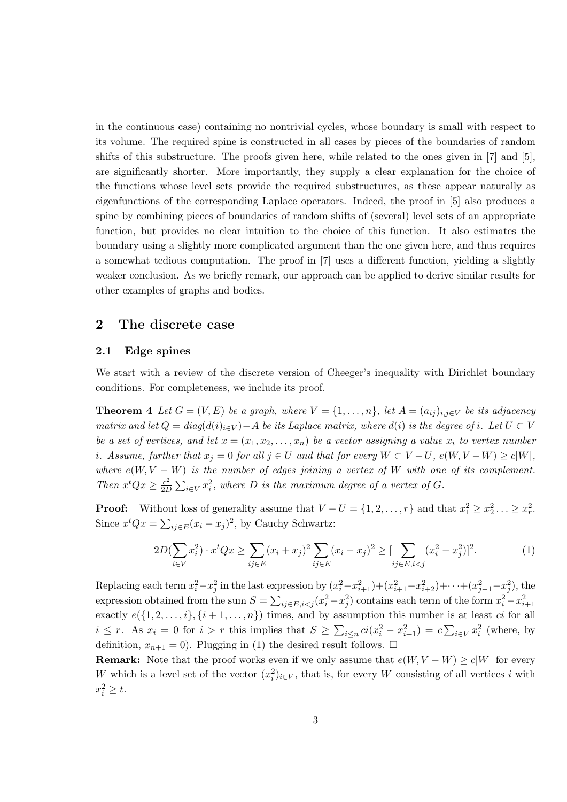in the continuous case) containing no nontrivial cycles, whose boundary is small with respect to its volume. The required spine is constructed in all cases by pieces of the boundaries of random shifts of this substructure. The proofs given here, while related to the ones given in [7] and [5], are significantly shorter. More importantly, they supply a clear explanation for the choice of the functions whose level sets provide the required substructures, as these appear naturally as eigenfunctions of the corresponding Laplace operators. Indeed, the proof in [5] also produces a spine by combining pieces of boundaries of random shifts of (several) level sets of an appropriate function, but provides no clear intuition to the choice of this function. It also estimates the boundary using a slightly more complicated argument than the one given here, and thus requires a somewhat tedious computation. The proof in [7] uses a different function, yielding a slightly weaker conclusion. As we briefly remark, our approach can be applied to derive similar results for other examples of graphs and bodies.

### 2 The discrete case

#### 2.1 Edge spines

We start with a review of the discrete version of Cheeger's inequality with Dirichlet boundary conditions. For completeness, we include its proof.

**Theorem 4** Let  $G = (V, E)$  be a graph, where  $V = \{1, \ldots, n\}$ , let  $A = (a_{ij})_{i,j \in V}$  be its adjacency matrix and let  $Q = diag(d(i)_{i\in V}) - A$  be its Laplace matrix, where  $d(i)$  is the degree of i. Let  $U \subset V$ be a set of vertices, and let  $x = (x_1, x_2, \ldots, x_n)$  be a vector assigning a value  $x_i$  to vertex number i. Assume, further that  $x_j = 0$  for all  $j \in U$  and that for every  $W \subset V-U$ ,  $e(W, V-W) \ge c|W|$ , where  $e(W, V - W)$  is the number of edges joining a vertex of W with one of its complement. Then  $x^tQx \geq \frac{c^2}{2L}$  $\frac{c^2}{2D} \sum_{i \in V} x_i^2$ , where D is the maximum degree of a vertex of G.

**Proof:** Without loss of generality assume that  $V - U = \{1, 2, ..., r\}$  and that  $x_1^2 \ge x_2^2 ... \ge x_r^2$ . Since  $x^t Q x = \sum_{ij \in E} (x_i - x_j)^2$ , by Cauchy Schwartz:

$$
2D(\sum_{i\in V} x_i^2) \cdot x^t Q x \ge \sum_{ij\in E} (x_i + x_j)^2 \sum_{ij\in E} (x_i - x_j)^2 \ge \left[\sum_{ij\in E, i < j} (x_i^2 - x_j^2)\right]^2. \tag{1}
$$

Replacing each term  $x_i^2 - x_j^2$  in the last expression by  $(x_i^2 - x_{i+1}^2) + (x_{i+1}^2 - x_{i+2}^2) + \cdots + (x_{j-1}^2 - x_j^2)$ , the expression obtained from the sum  $S = \sum_{ij \in E, i < j} (x_i^2 - x_j^2)$  contains each term of the form  $x_i^2 - x_{i+1}^2$ exactly  $e({1, 2, \ldots, i}, {i + 1, \ldots, n})$  times, and by assumption this number is at least *ci* for all  $i \leq r$ . As  $x_i = 0$  for  $i > r$  this implies that  $S \geq \sum_{i \leq n} ci(x_i^2 - x_{i+1}^2) = c \sum_{i \in V} x_i^2$  (where, by definition,  $x_{n+1} = 0$ ). Plugging in (1) the desired result follows.  $\Box$ 

**Remark:** Note that the proof works even if we only assume that  $e(W, V - W) \ge c|W|$  for every W which is a level set of the vector  $(x_i^2)_{i\in V}$ , that is, for every W consisting of all vertices i with  $x_i^2 \geq t$ .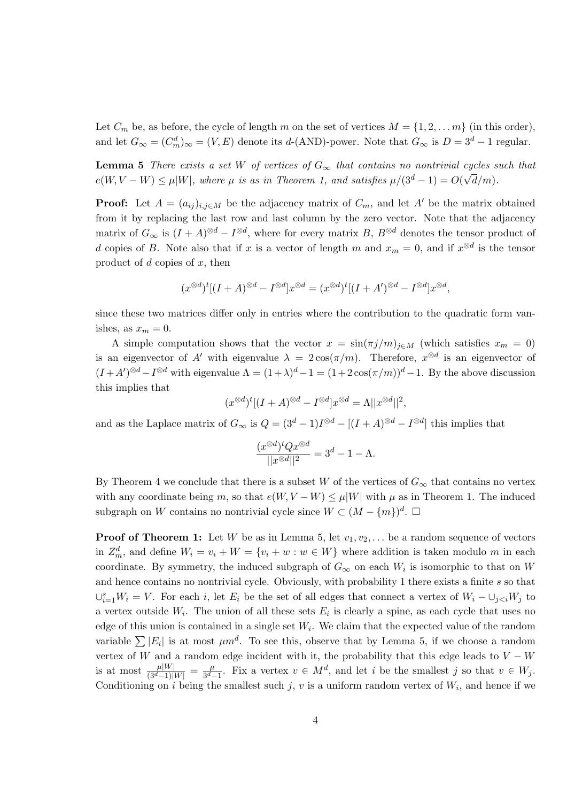Let  $C_m$  be, as before, the cycle of length m on the set of vertices  $M = \{1, 2, \ldots m\}$  (in this order), and let  $G_{\infty} = (C_m^d)_{\infty} = (V, E)$  denote its d-(AND)-power. Note that  $G_{\infty}$  is  $D = 3^d - 1$  regular.

**Lemma 5** There exists a set W of vertices of  $G_{\infty}$  that contains no nontrivial cycles such that  $e(W, V - W) \leq \mu |W|$ , where  $\mu$  is as in Theorem 1, and satisfies  $\mu/(3^d - 1) = O(\sqrt{2^d - 1})$  $(d/m).$ 

**Proof:** Let  $A = (a_{ij})_{i,j \in M}$  be the adjacency matrix of  $C_m$ , and let A' be the matrix obtained from it by replacing the last row and last column by the zero vector. Note that the adjacency matrix of  $G_{\infty}$  is  $(I + A)^{\otimes d} - I^{\otimes d}$ , where for every matrix B,  $B^{\otimes d}$  denotes the tensor product of d copies of B. Note also that if x is a vector of length m and  $x_m = 0$ , and if  $x^{\otimes d}$  is the tensor product of  $d$  copies of  $x$ , then

$$
(x^{\otimes d})^t[(I+A)^{\otimes d}-I^{\otimes d}]x^{\otimes d}=(x^{\otimes d})^t[(I+A')^{\otimes d}-I^{\otimes d}]x^{\otimes d},
$$

since these two matrices differ only in entries where the contribution to the quadratic form vanishes, as  $x_m = 0$ .

A simple computation shows that the vector  $x = sin(\pi j/m)_{i \in M}$  (which satisfies  $x_m = 0$ ) is an eigenvector of A' with eigenvalue  $\lambda = 2\cos(\pi/m)$ . Therefore,  $x^{\otimes d}$  is an eigenvector of  $(I + A')^{\otimes d} - I^{\otimes d}$  with eigenvalue  $\Lambda = (1 + \lambda)^d - 1 = (1 + 2\cos(\pi/m))^d - 1$ . By the above discussion this implies that

$$
(x^{\otimes d})^t[(I+A)^{\otimes d} - I^{\otimes d}]x^{\otimes d} = \Lambda ||x^{\otimes d}||^2,
$$

and as the Laplace matrix of  $G_{\infty}$  is  $Q = (3^d - 1)I^{\otimes d} - [(I + A)^{\otimes d} - I^{\otimes d}]$  this implies that

$$
\frac{(x^{\otimes d})^t Q x^{\otimes d}}{||x^{\otimes d}||^2} = 3^d - 1 - \Lambda.
$$

By Theorem 4 we conclude that there is a subset W of the vertices of  $G_{\infty}$  that contains no vertex with any coordinate being m, so that  $e(W, V - W) \leq \mu|W|$  with  $\mu$  as in Theorem 1. The induced subgraph on W contains no nontrivial cycle since  $W \subset (M - \{m\})^d$ .

**Proof of Theorem 1:** Let W be as in Lemma 5, let  $v_1, v_2, \ldots$  be a random sequence of vectors in  $Z_m^d$ , and define  $W_i = v_i + W = \{v_i + w : w \in W\}$  where addition is taken modulo m in each coordinate. By symmetry, the induced subgraph of  $G_{\infty}$  on each  $W_i$  is isomorphic to that on W and hence contains no nontrivial cycle. Obviously, with probability 1 there exists a finite s so that  $\cup_{i=1}^s W_i = V$ . For each i, let  $E_i$  be the set of all edges that connect a vertex of  $W_i - \cup_{j to$ a vertex outside  $W_i$ . The union of all these sets  $E_i$  is clearly a spine, as each cycle that uses no edge of this union is contained in a single set  $W_i$ . We claim that the expected value of the random variable  $\sum |E_i|$  is at most  $\mu m^d$ . To see this, observe that by Lemma 5, if we choose a random vertex of W and a random edge incident with it, the probability that this edge leads to  $V - W$ is at most  $\frac{\mu|W|}{(3^d-1)|W|} = \frac{\mu}{3^d-1}$  $\frac{\mu}{3^d-1}$ . Fix a vertex  $v \in M^d$ , and let *i* be the smallest *j* so that  $v \in W_j$ . Conditioning on i being the smallest such j, v is a uniform random vertex of  $W_i$ , and hence if we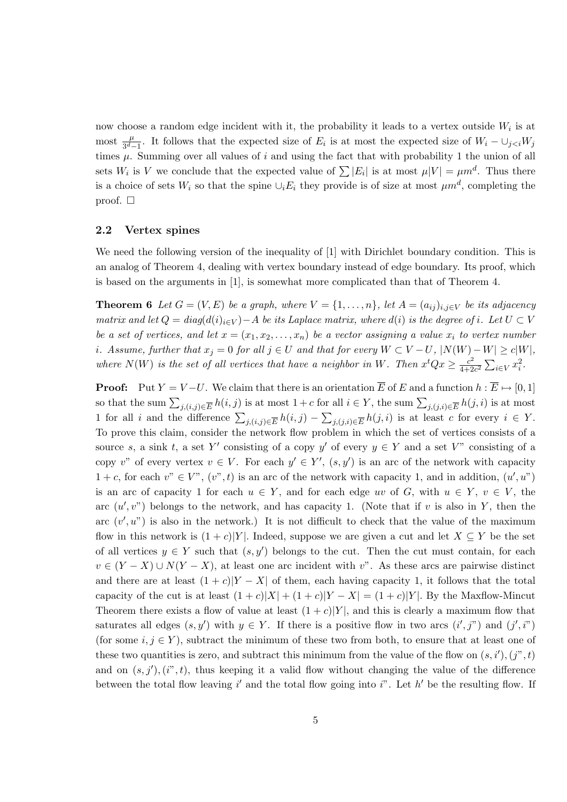now choose a random edge incident with it, the probability it leads to a vertex outside  $W_i$  is at most  $\frac{\mu}{3^d-1}$ . It follows that the expected size of  $E_i$  is at most the expected size of  $W_i - \cup_{j$ times  $\mu$ . Summing over all values of i and using the fact that with probability 1 the union of all sets  $W_i$  is V we conclude that the expected value of  $\sum |E_i|$  is at most  $\mu|V| = \mu m^d$ . Thus there is a choice of sets  $W_i$  so that the spine  $\cup_i E_i$  they provide is of size at most  $\mu m^d$ , completing the proof.  $\square$ 

#### 2.2 Vertex spines

We need the following version of the inequality of [1] with Dirichlet boundary condition. This is an analog of Theorem 4, dealing with vertex boundary instead of edge boundary. Its proof, which is based on the arguments in [1], is somewhat more complicated than that of Theorem 4.

**Theorem 6** Let  $G = (V, E)$  be a graph, where  $V = \{1, \ldots, n\}$ , let  $A = (a_{ij})_{i,j \in V}$  be its adjacency matrix and let  $Q = diag(d(i)_{i\in V}) - A$  be its Laplace matrix, where  $d(i)$  is the degree of i. Let  $U \subset V$ be a set of vertices, and let  $x = (x_1, x_2, \ldots, x_n)$  be a vector assigning a value  $x_i$  to vertex number i. Assume, further that  $x_j = 0$  for all  $j \in U$  and that for every  $W \subset V - U$ ,  $|N(W) - W| \ge c|W|$ , where  $N(W)$  is the set of all vertices that have a neighbor in W. Then  $x^tQx \geq \frac{c^2}{4+2}$  $\frac{c^2}{4+2c^2}\sum_{i\in V}x_i^2.$ 

**Proof:** Put  $Y = V-U$ . We claim that there is an orientation  $\overline{E}$  of E and a function  $h : \overline{E} \mapsto [0,1]$ so that the sum  $\sum_{j,(i,j)\in\overline{E}}h(i,j)$  is at most  $1+c$  for all  $i\in Y$ , the sum  $\sum_{j,(j,i)\in\overline{E}}h(j,i)$  is at most 1 for all i and the difference  $\sum_{j,(i,j)\in\overline{E}}h(i,j)-\sum_{j,(j,i)\in\overline{E}}h(j,i)$  is at least c for every  $i \in Y$ . To prove this claim, consider the network flow problem in which the set of vertices consists of a source s, a sink t, a set Y' consisting of a copy y' of every  $y \in Y$  and a set V" consisting of a copy v" of every vertex  $v \in V$ . For each  $y' \in Y'$ ,  $(s, y')$  is an arc of the network with capacity  $1 + c$ , for each  $v'' \in V''$ ,  $(v'', t)$  is an arc of the network with capacity 1, and in addition,  $(u', u'')$ is an arc of capacity 1 for each  $u \in Y$ , and for each edge uv of G, with  $u \in Y$ ,  $v \in V$ , the arc  $(u', v'')$  belongs to the network, and has capacity 1. (Note that if v is also in Y, then the arc  $(v', u'')$  is also in the network.) It is not difficult to check that the value of the maximum flow in this network is  $(1 + c)|Y|$ . Indeed, suppose we are given a cut and let  $X \subseteq Y$  be the set of all vertices  $y \in Y$  such that  $(s, y')$  belongs to the cut. Then the cut must contain, for each  $v \in (Y - X) \cup N(Y - X)$ , at least one arc incident with v". As these arcs are pairwise distinct and there are at least  $(1 + c)|Y - X|$  of them, each having capacity 1, it follows that the total capacity of the cut is at least  $(1+c)|X| + (1+c)|Y - X| = (1+c)|Y|$ . By the Maxflow-Mincut Theorem there exists a flow of value at least  $(1+c)|Y|$ , and this is clearly a maximum flow that saturates all edges  $(s, y')$  with  $y \in Y$ . If there is a positive flow in two arcs  $(i', j'')$  and  $(j', i'')$ (for some  $i, j \in Y$ ), subtract the minimum of these two from both, to ensure that at least one of these two quantities is zero, and subtract this minimum from the value of the flow on  $(s, i'),(j'', t)$ and on  $(s, j'), (i", t)$ , thus keeping it a valid flow without changing the value of the difference between the total flow leaving  $i'$  and the total flow going into  $i''$ . Let  $h'$  be the resulting flow. If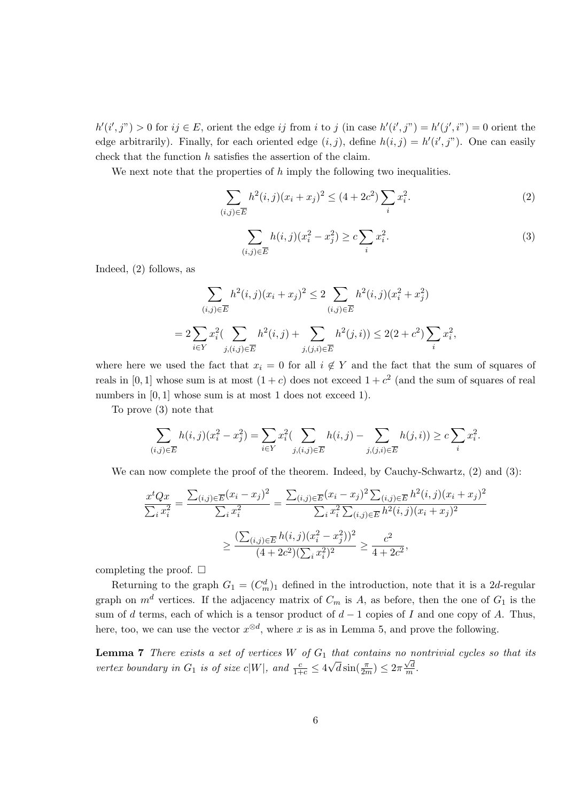$h'(i',j'') > 0$  for  $ij \in E$ , orient the edge ij from i to j (in case  $h'(i',j'') = h'(j',i'') = 0$  orient the edge arbitrarily). Finally, for each oriented edge  $(i, j)$ , define  $h(i, j) = h'(i', j'')$ . One can easily check that the function h satisfies the assertion of the claim.

We next note that the properties of  $h$  imply the following two inequalities.

$$
\sum_{(i,j)\in\overline{E}} h^2(i,j)(x_i+x_j)^2 \le (4+2c^2)\sum_i x_i^2.
$$
 (2)

$$
\sum_{(i,j)\in\overline{E}} h(i,j)(x_i^2 - x_j^2) \ge c \sum_i x_i^2.
$$
 (3)

Indeed, (2) follows, as

$$
\sum_{(i,j)\in\overline{E}} h^2(i,j)(x_i+x_j)^2 \le 2 \sum_{(i,j)\in\overline{E}} h^2(i,j)(x_i^2+x_j^2)
$$
  
= 
$$
2 \sum_{i\in Y} x_i^2 \left(\sum_{j,(i,j)\in\overline{E}} h^2(i,j) + \sum_{j,(j,i)\in\overline{E}} h^2(j,i)\right) \le 2(2+c^2) \sum_i x_i^2,
$$

where here we used the fact that  $x_i = 0$  for all  $i \notin Y$  and the fact that the sum of squares of reals in [0, 1] whose sum is at most  $(1+c)$  does not exceed  $1+c^2$  (and the sum of squares of real numbers in  $[0, 1]$  whose sum is at most 1 does not exceed 1).

To prove (3) note that

$$
\sum_{(i,j)\in\overline{E}} h(i,j)(x_i^2 - x_j^2) = \sum_{i\in Y} x_i^2 \left( \sum_{j,(i,j)\in\overline{E}} h(i,j) - \sum_{j,(j,i)\in\overline{E}} h(j,i) \right) \ge c \sum_i x_i^2.
$$

We can now complete the proof of the theorem. Indeed, by Cauchy-Schwartz,  $(2)$  and  $(3)$ :

$$
\frac{x^t Q x}{\sum_i x_i^2} = \frac{\sum_{(i,j) \in \overline{E}} (x_i - x_j)^2}{\sum_i x_i^2} = \frac{\sum_{(i,j) \in \overline{E}} (x_i - x_j)^2 \sum_{(i,j) \in \overline{E}} h^2(i,j) (x_i + x_j)^2}{\sum_i x_i^2 \sum_{(i,j) \in \overline{E}} h^2(i,j) (x_i + x_j)^2}
$$

$$
\geq \frac{(\sum_{(i,j) \in \overline{E}} h(i,j) (x_i^2 - x_j^2))^2}{(4 + 2c^2)(\sum_i x_i^2)^2} \geq \frac{c^2}{4 + 2c^2},
$$

completing the proof.  $\square$ 

Returning to the graph  $G_1 = (C_m^d)_1$  defined in the introduction, note that it is a 2d-regular graph on  $m^d$  vertices. If the adjacency matrix of  $C_m$  is A, as before, then the one of  $G_1$  is the sum of d terms, each of which is a tensor product of  $d-1$  copies of I and one copy of A. Thus, here, too, we can use the vector  $x^{\otimes d}$ , where x is as in Lemma 5, and prove the following.

**Lemma 7** There exists a set of vertices W of  $G_1$  that contains no nontrivial cycles so that its vertex boundary in  $G_1$  is of size  $c|W|$ , and  $\frac{c}{1+c} \leq 4\sqrt{d}\sin(\frac{\pi}{2m}) \leq 2\pi\frac{\sqrt{d}}{m}$  $\frac{\sqrt{d}}{m}$ .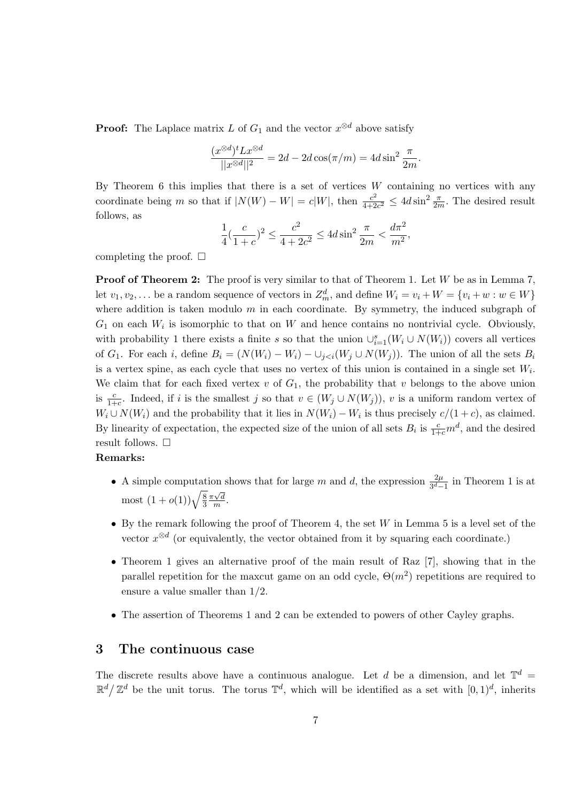**Proof:** The Laplace matrix L of  $G_1$  and the vector  $x^{\otimes d}$  above satisfy

$$
\frac{(x^{\otimes d})^t L x^{\otimes d}}{||x^{\otimes d}||^2} = 2d - 2d \cos(\pi/m) = 4d \sin^2 \frac{\pi}{2m}.
$$

By Theorem 6 this implies that there is a set of vertices  $W$  containing no vertices with any coordinate being m so that if  $|N(W) - W| = c|W|$ , then  $\frac{c^2}{4\pm 2}$  $\frac{c^2}{4+2c^2} \le 4d \sin^2 \frac{\pi}{2m}$ . The desired result follows, as

$$
\frac{1}{4}(\frac{c}{1+c})^2 \le \frac{c^2}{4+2c^2} \le 4d\sin^2\frac{\pi}{2m} < \frac{d\pi^2}{m^2},
$$

completing the proof.  $\square$ 

**Proof of Theorem 2:** The proof is very similar to that of Theorem 1. Let W be as in Lemma 7, let  $v_1, v_2, \ldots$  be a random sequence of vectors in  $Z_m^d$ , and define  $W_i = v_i + W = \{v_i + w : w \in W\}$ where addition is taken modulo  $m$  in each coordinate. By symmetry, the induced subgraph of  $G_1$  on each  $W_i$  is isomorphic to that on W and hence contains no nontrivial cycle. Obviously, with probability 1 there exists a finite s so that the union  $\cup_{i=1}^s (W_i \cup N(W_i))$  covers all vertices of G<sub>1</sub>. For each i, define  $B_i = (N(W_i) - W_i) - \bigcup_{j < i} (W_j \cup N(W_j))$ . The union of all the sets  $B_i$ is a vertex spine, as each cycle that uses no vertex of this union is contained in a single set  $W_i$ . We claim that for each fixed vertex  $v$  of  $G_1$ , the probability that  $v$  belongs to the above union is  $\frac{c}{1+c}$ . Indeed, if i is the smallest j so that  $v \in (W_j \cup N(W_j))$ , v is a uniform random vertex of  $W_i \cup N(W_i)$  and the probability that it lies in  $N(W_i) - W_i$  is thus precisely  $c/(1+c)$ , as claimed. By linearity of expectation, the expected size of the union of all sets  $B_i$  is  $\frac{c}{1+c}m^d$ , and the desired result follows.  $\Box$ 

#### Remarks:

- A simple computation shows that for large m and d, the expression  $\frac{2\mu}{3^d-1}$  in Theorem 1 is at most  $(1+o(1))\sqrt{\frac{8}{3}}$ 3  $\pi\sqrt{d}$  $\frac{\sqrt{d}}{m}$ .
- By the remark following the proof of Theorem 4, the set  $W$  in Lemma 5 is a level set of the vector  $x^{\otimes d}$  (or equivalently, the vector obtained from it by squaring each coordinate.)
- Theorem 1 gives an alternative proof of the main result of Raz [7], showing that in the parallel repetition for the maxcut game on an odd cycle,  $\Theta(m^2)$  repetitions are required to ensure a value smaller than 1/2.
- The assertion of Theorems 1 and 2 can be extended to powers of other Cayley graphs.

## 3 The continuous case

The discrete results above have a continuous analogue. Let d be a dimension, and let  $\mathbb{T}^d$  =  $\mathbb{R}^d/\mathbb{Z}^d$  be the unit torus. The torus  $\mathbb{T}^d$ , which will be identified as a set with  $[0,1)^d$ , inherits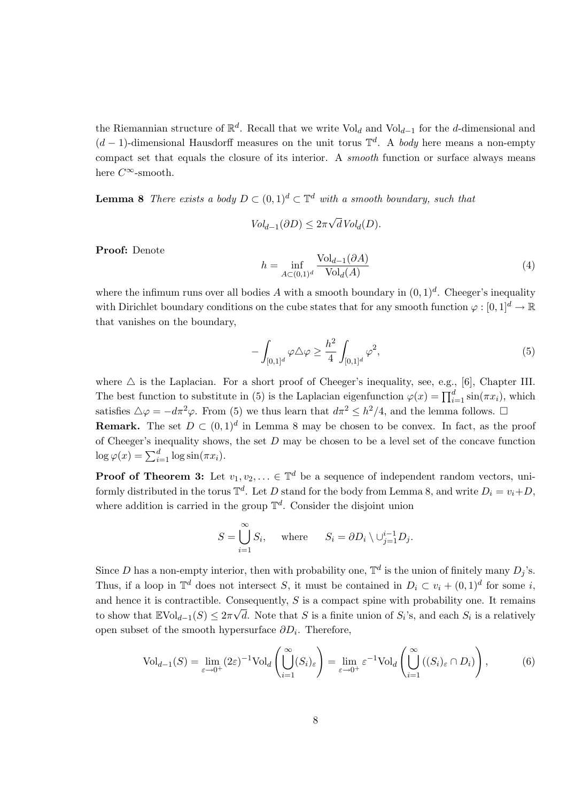the Riemannian structure of  $\mathbb{R}^d$ . Recall that we write Vol<sub>d</sub> and Vol<sub>d−1</sub> for the d-dimensional and  $(d-1)$ -dimensional Hausdorff measures on the unit torus  $\mathbb{T}^d$ . A body here means a non-empty compact set that equals the closure of its interior. A smooth function or surface always means here  $C^\infty\operatorname{-smooth}.$ 

**Lemma 8** There exists a body  $D \subset (0,1)^d \subset \mathbb{T}^d$  with a smooth boundary, such that

$$
Vol_{d-1}(\partial D) \leq 2\pi \sqrt{d} Vol_d(D).
$$

Proof: Denote

$$
h = \inf_{A \subset (0,1)^d} \frac{\text{Vol}_{d-1}(\partial A)}{\text{Vol}_d(A)}\tag{4}
$$

where the infimum runs over all bodies A with a smooth boundary in  $(0, 1)<sup>d</sup>$ . Cheeger's inequality with Dirichlet boundary conditions on the cube states that for any smooth function  $\varphi : [0, 1]^d \to \mathbb{R}$ that vanishes on the boundary,

$$
-\int_{[0,1]^d} \varphi \triangle \varphi \ge \frac{h^2}{4} \int_{[0,1]^d} \varphi^2,\tag{5}
$$

where  $\triangle$  is the Laplacian. For a short proof of Cheeger's inequality, see, e.g., [6], Chapter III. The best function to substitute in (5) is the Laplacian eigenfunction  $\varphi(x) = \prod_{i=1}^{d} \sin(\pi x_i)$ , which satisfies  $\Delta \varphi = -d\pi^2 \varphi$ . From (5) we thus learn that  $d\pi^2 \leq h^2/4$ , and the lemma follows.  $\Box$ **Remark.** The set  $D \subset (0,1)^d$  in Lemma 8 may be chosen to be convex. In fact, as the proof

of Cheeger's inequality shows, the set  $D$  may be chosen to be a level set of the concave function  $\log \varphi(x) = \sum_{i=1}^d \log \sin(\pi x_i).$ 

**Proof of Theorem 3:** Let  $v_1, v_2, \ldots \in \mathbb{T}^d$  be a sequence of independent random vectors, uniformly distributed in the torus  $\mathbb{T}^d$ . Let D stand for the body from Lemma 8, and write  $D_i = v_i + D$ , where addition is carried in the group  $\mathbb{T}^d$ . Consider the disjoint union

$$
S = \bigcup_{i=1}^{\infty} S_i, \quad \text{where} \quad S_i = \partial D_i \setminus \cup_{j=1}^{i-1} D_j.
$$

Since D has a non-empty interior, then with probability one,  $\mathbb{T}^d$  is the union of finitely many  $D_j$ 's. Thus, if a loop in  $\mathbb{T}^d$  does not intersect S, it must be contained in  $D_i \subset v_i + (0,1)^d$  for some i, and hence it is contractible. Consequently, S is a compact spine with probability one. It remains to show that  $\mathbb{E} \text{Vol}_{d-1}(S) \leq 2\pi\sqrt{d}$ . Note that S is a finite union of  $S_i$ 's, and each  $S_i$  is a relatively open subset of the smooth hypersurface  $\partial D_i$ . Therefore,

$$
\text{Vol}_{d-1}(S) = \lim_{\varepsilon \to 0^+} (2\varepsilon)^{-1} \text{Vol}_d \left( \bigcup_{i=1}^{\infty} (S_i)_{\varepsilon} \right) = \lim_{\varepsilon \to 0^+} \varepsilon^{-1} \text{Vol}_d \left( \bigcup_{i=1}^{\infty} ((S_i)_{\varepsilon} \cap D_i) \right), \tag{6}
$$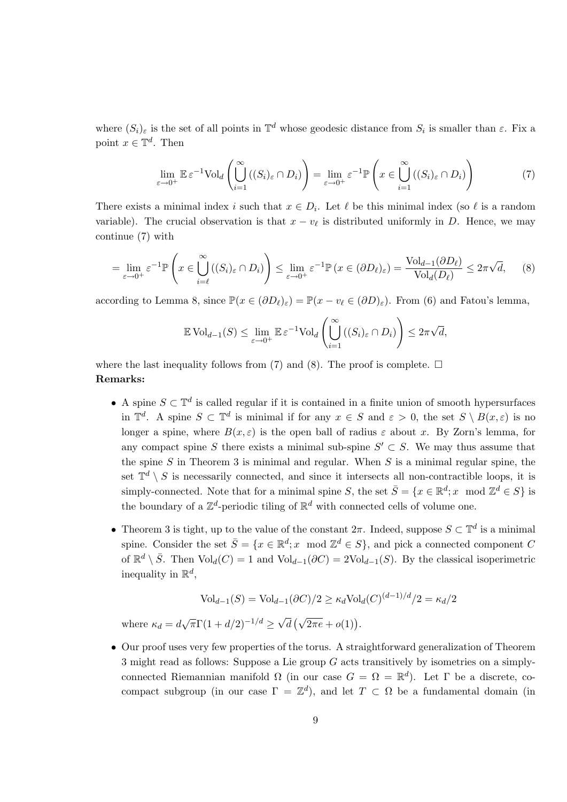where  $(S_i)_{\varepsilon}$  is the set of all points in  $\mathbb{T}^d$  whose geodesic distance from  $S_i$  is smaller than  $\varepsilon$ . Fix a point  $x \in \mathbb{T}^d$ . Then

$$
\lim_{\varepsilon \to 0^+} \mathbb{E} \, \varepsilon^{-1} \text{Vol}_d \left( \bigcup_{i=1}^{\infty} \left( (S_i)_{\varepsilon} \cap D_i \right) \right) = \lim_{\varepsilon \to 0^+} \varepsilon^{-1} \mathbb{P} \left( x \in \bigcup_{i=1}^{\infty} \left( (S_i)_{\varepsilon} \cap D_i \right) \right) \tag{7}
$$

There exists a minimal index i such that  $x \in D_i$ . Let  $\ell$  be this minimal index (so  $\ell$  is a random variable). The crucial observation is that  $x - v_\ell$  is distributed uniformly in D. Hence, we may continue (7) with

$$
= \lim_{\varepsilon \to 0^+} \varepsilon^{-1} \mathbb{P}\left(x \in \bigcup_{i=\ell}^{\infty} ((S_i)_{\varepsilon} \cap D_i)\right) \le \lim_{\varepsilon \to 0^+} \varepsilon^{-1} \mathbb{P}\left(x \in (\partial D_{\ell})_{\varepsilon}\right) = \frac{\text{Vol}_{d-1}(\partial D_{\ell})}{\text{Vol}_{d}(D_{\ell})} \le 2\pi\sqrt{d},\tag{8}
$$

according to Lemma 8, since  $\mathbb{P}(x \in (\partial D_\ell)_{\varepsilon}) = \mathbb{P}(x - v_\ell \in (\partial D)_{\varepsilon})$ . From (6) and Fatou's lemma,

$$
\mathbb{E} \operatorname{Vol}_{d-1}(S) \le \lim_{\varepsilon \to 0^+} \mathbb{E} \varepsilon^{-1} \operatorname{Vol}_d \left( \bigcup_{i=1}^{\infty} \left( (S_i)_{\varepsilon} \cap D_i \right) \right) \le 2\pi\sqrt{d},
$$

where the last inequality follows from (7) and (8). The proof is complete.  $\Box$ Remarks:

- A spine  $S \subset \mathbb{T}^d$  is called regular if it is contained in a finite union of smooth hypersurfaces in  $\mathbb{T}^d$ . A spine  $S \subset \mathbb{T}^d$  is minimal if for any  $x \in S$  and  $\varepsilon > 0$ , the set  $S \setminus B(x, \varepsilon)$  is no longer a spine, where  $B(x, \varepsilon)$  is the open ball of radius  $\varepsilon$  about x. By Zorn's lemma, for any compact spine S there exists a minimal sub-spine  $S' \subset S$ . We may thus assume that the spine  $S$  in Theorem 3 is minimal and regular. When  $S$  is a minimal regular spine, the set  $\mathbb{T}^d \setminus S$  is necessarily connected, and since it intersects all non-contractible loops, it is simply-connected. Note that for a minimal spine S, the set  $\bar{S} = \{x \in \mathbb{R}^d; x \mod \mathbb{Z}^d \in S\}$  is the boundary of a  $\mathbb{Z}^d$ -periodic tiling of  $\mathbb{R}^d$  with connected cells of volume one.
- Theorem 3 is tight, up to the value of the constant  $2\pi$ . Indeed, suppose  $S \subset \mathbb{T}^d$  is a minimal spine. Consider the set  $\bar{S} = \{x \in \mathbb{R}^d; x \mod \mathbb{Z}^d \in S\}$ , and pick a connected component C of  $\mathbb{R}^d \setminus \overline{S}$ . Then  $\text{Vol}_d(C) = 1$  and  $\text{Vol}_{d-1}(\partial C) = 2\text{Vol}_{d-1}(S)$ . By the classical isoperimetric inequality in  $\mathbb{R}^d$ ,

$$
\text{Vol}_{d-1}(S) = \text{Vol}_{d-1}(\partial C)/2 \ge \kappa_d \text{Vol}_d(C)^{(d-1)/d}/2 = \kappa_d/2
$$

where  $\kappa_d = d\sqrt{\pi}\Gamma(1 + d/2)^{-1/d} \ge \sqrt{\frac{d}{d}}$  $\overline{d}(\sqrt{2\pi e}+o(1)).$ 

• Our proof uses very few properties of the torus. A straightforward generalization of Theorem 3 might read as follows: Suppose a Lie group G acts transitively by isometries on a simplyconnected Riemannian manifold  $\Omega$  (in our case  $G = \Omega = \mathbb{R}^d$ ). Let  $\Gamma$  be a discrete, cocompact subgroup (in our case  $\Gamma = \mathbb{Z}^d$ ), and let  $T \subset \Omega$  be a fundamental domain (in